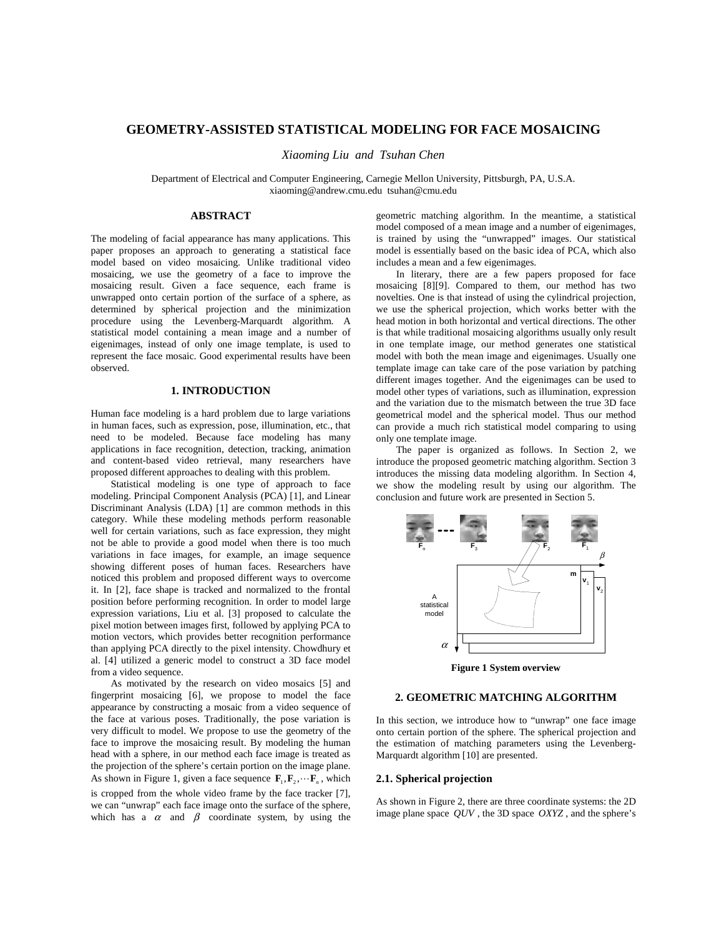# **GEOMETRY-ASSISTED STATISTICAL MODELING FOR FACE MOSAICING**

*Xiaoming Liu and Tsuhan Chen* 

Department of Electrical and Computer Engineering, Carnegie Mellon University, Pittsburgh, PA, U.S.A. xiaoming@andrew.cmu.edu tsuhan@cmu.edu

#### **ABSTRACT**

The modeling of facial appearance has many applications. This paper proposes an approach to generating a statistical face model based on video mosaicing. Unlike traditional video mosaicing, we use the geometry of a face to improve the mosaicing result. Given a face sequence, each frame is unwrapped onto certain portion of the surface of a sphere, as determined by spherical projection and the minimization procedure using the Levenberg-Marquardt algorithm. A statistical model containing a mean image and a number of eigenimages, instead of only one image template, is used to represent the face mosaic. Good experimental results have been observed.

## **1. INTRODUCTION**

Human face modeling is a hard problem due to large variations in human faces, such as expression, pose, illumination, etc., that need to be modeled. Because face modeling has many applications in face recognition, detection, tracking, animation and content-based video retrieval, many researchers have proposed different approaches to dealing with this problem.

Statistical modeling is one type of approach to face modeling. Principal Component Analysis (PCA) [1], and Linear Discriminant Analysis (LDA) [1] are common methods in this category. While these modeling methods perform reasonable well for certain variations, such as face expression, they might not be able to provide a good model when there is too much variations in face images, for example, an image sequence showing different poses of human faces. Researchers have noticed this problem and proposed different ways to overcome it. In [2], face shape is tracked and normalized to the frontal position before performing recognition. In order to model large expression variations, Liu et al. [3] proposed to calculate the pixel motion between images first, followed by applying PCA to motion vectors, which provides better recognition performance than applying PCA directly to the pixel intensity. Chowdhury et al. [4] utilized a generic model to construct a 3D face model from a video sequence.

As motivated by the research on video mosaics [5] and fingerprint mosaicing [6], we propose to model the face appearance by constructing a mosaic from a video sequence of the face at various poses. Traditionally, the pose variation is very difficult to model. We propose to use the geometry of the face to improve the mosaicing result. By modeling the human head with a sphere, in our method each face image is treated as the projection of the sphere's certain portion on the image plane. As shown in Figure 1, given a face sequence  $\mathbf{F}_1, \mathbf{F}_2, \dots, \mathbf{F}_n$ , which is cropped from the whole video frame by the face tracker [7], we can "unwrap" each face image onto the surface of the sphere, which has a  $\alpha$  and  $\beta$  coordinate system, by using the

geometric matching algorithm. In the meantime, a statistical model composed of a mean image and a number of eigenimages, is trained by using the "unwrapped" images. Our statistical model is essentially based on the basic idea of PCA, which also includes a mean and a few eigenimages.

In literary, there are a few papers proposed for face mosaicing [8][9]. Compared to them, our method has two novelties. One is that instead of using the cylindrical projection, we use the spherical projection, which works better with the head motion in both horizontal and vertical directions. The other is that while traditional mosaicing algorithms usually only result in one template image, our method generates one statistical model with both the mean image and eigenimages. Usually one template image can take care of the pose variation by patching different images together. And the eigenimages can be used to model other types of variations, such as illumination, expression and the variation due to the mismatch between the true 3D face geometrical model and the spherical model. Thus our method can provide a much rich statistical model comparing to using only one template image.

The paper is organized as follows. In Section 2, we introduce the proposed geometric matching algorithm. Section 3 introduces the missing data modeling algorithm. In Section 4, we show the modeling result by using our algorithm. The conclusion and future work are presented in Section 5.



**Figure 1 System overview** 

## **2. GEOMETRIC MATCHING ALGORITHM**

In this section, we introduce how to "unwrap" one face image onto certain portion of the sphere. The spherical projection and the estimation of matching parameters using the Levenberg-Marquardt algorithm [10] are presented.

## **2.1. Spherical projection**

As shown in Figure 2, there are three coordinate systems: the 2D image plane space *QUV* , the 3D space *OXYZ* , and the sphere's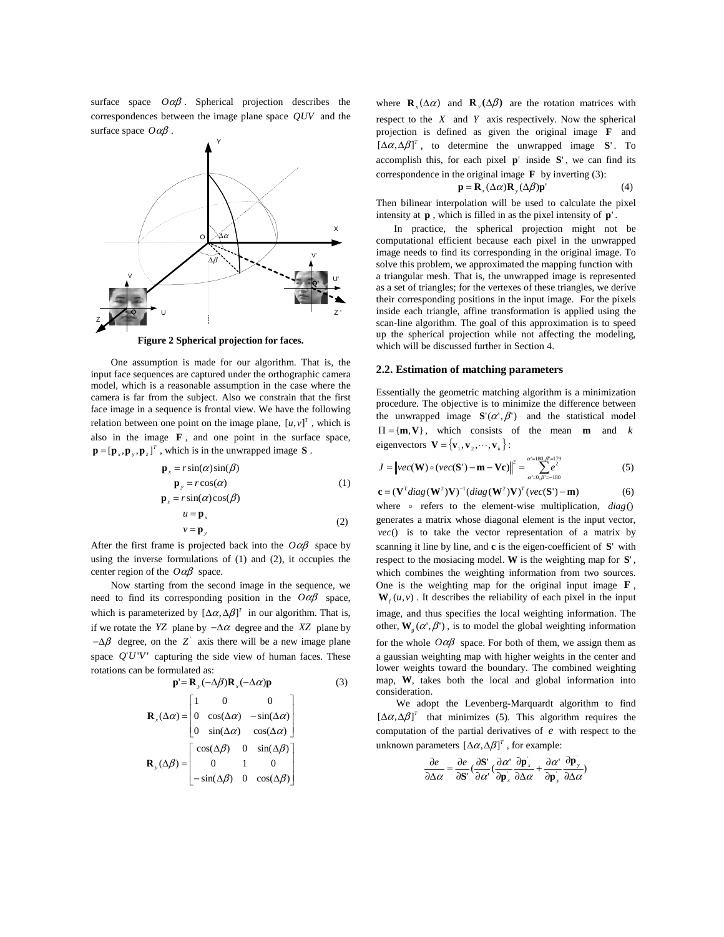surface space *O*αβ . Spherical projection describes the correspondences between the image plane space *QUV* and the surface space *O*αβ .



**Figure 2 Spherical projection for faces.**

One assumption is made for our algorithm. That is, the input face sequences are captured under the orthographic camera model, which is a reasonable assumption in the case where the camera is far from the subject. Also we constrain that the first face image in a sequence is frontal view. We have the following relation between one point on the image plane,  $[u, v]^T$ , which is also in the image **F** , and one point in the surface space,  $\mathbf{p} = [\mathbf{p}_x, \mathbf{p}_y, \mathbf{p}_z]^T$ , which is in the unwrapped image **S**.

$$
\mathbf{p}_x = r \sin(\alpha) \sin(\beta) \n\mathbf{p}_y = r \cos(\alpha) \n\mathbf{p}_z = r \sin(\alpha) \cos(\beta) \n\mathbf{u} = \mathbf{p}_x \n\mathbf{v} = \mathbf{p}_y
$$
\n(2)

After the first frame is projected back into the  $O \alpha \beta$  space by using the inverse formulations of (1) and (2), it occupies the center region of the *O*αβ space.

Now starting from the second image in the sequence, we need to find its corresponding position in the *O*αβ space, which is parameterized by  $[\Delta \alpha, \Delta \beta]^T$  in our algorithm. That is, if we rotate the *YZ* plane by −∆α degree and the *XZ* plane by  $-\Delta\beta$  degree, on the Z axis there will be a new image plane space *Q*'*U*'*V* ' capturing the side view of human faces. These rotations can be formulated as:

$$
\mathbf{p} = \mathbf{R}_{y}(-\Delta\beta)\mathbf{R}_{x}(-\Delta\alpha)\mathbf{p}
$$
(3)  

$$
\mathbf{R}_{x}(\Delta\alpha) = \begin{bmatrix} 1 & 0 & 0 \\ 0 & \cos(\Delta\alpha) & -\sin(\Delta\alpha) \\ 0 & \sin(\Delta\alpha) & \cos(\Delta\alpha) \end{bmatrix}
$$
  

$$
\mathbf{R}_{y}(\Delta\beta) = \begin{bmatrix} \cos(\Delta\beta) & 0 & \sin(\Delta\beta) \\ 0 & 1 & 0 \\ -\sin(\Delta\beta) & 0 & \cos(\Delta\beta) \end{bmatrix}
$$

where  $\mathbf{R}_x(\Delta \alpha)$  and  $\mathbf{R}_y(\Delta \beta)$  are the rotation matrices with respect to the *X* and *Y* axis respectively. Now the spherical projection is defined as given the original image **F** and  $[Δα, Δβ]$ <sup>*T*</sup>, to determine the unwrapped image **S**<sup> $\cdot$ </sup>. To accomplish this, for each pixel **p**' inside **S**' , we can find its correspondence in the original image  $\bf{F}$  by inverting (3):

$$
\mathbf{p} = \mathbf{R}_{x}(\Delta \alpha) \mathbf{R}_{y}(\Delta \beta) \mathbf{p}^{\prime}
$$
 (4)

Then bilinear interpolation will be used to calculate the pixel intensity at **p** , which is filled in as the pixel intensity of **p**' .

 In practice, the spherical projection might not be computational efficient because each pixel in the unwrapped image needs to find its corresponding in the original image. To solve this problem, we approximated the mapping function with a triangular mesh. That is, the unwrapped image is represented as a set of triangles; for the vertexes of these triangles, we derive their corresponding positions in the input image. For the pixels inside each triangle, affine transformation is applied using the scan-line algorithm. The goal of this approximation is to speed up the spherical projection while not affecting the modeling, which will be discussed further in Section 4.

### **2.2. Estimation of matching parameters**

Essentially the geometric matching algorithm is a minimization procedure. The objective is to minimize the difference between the unwrapped image  $S'(\alpha', \beta')$  and the statistical model  $\Pi = \{m, V\}$ , which consists of the mean **m** and *k* eigenvectors  ${\bf V} = {\bf v}_1, {\bf v}_2, \cdots, {\bf v}_k$  :

$$
J = \left\| vec(\mathbf{W}) \circ (vec(\mathbf{S}') - \mathbf{m} - \mathbf{Vc}) \right\|^2 = \sum_{\alpha'=0, \beta'=180}^{\alpha'=180, \beta'=179} e^2
$$
 (5)

$$
\mathbf{c} = (\mathbf{V}^T diag(\mathbf{W}^2)\mathbf{V})^{-1}(diag(\mathbf{W}^2)\mathbf{V})^T (vec(\mathbf{S}') - \mathbf{m})
$$
 (6)

where o refers to the element-wise multiplication, *diag*() generates a matrix whose diagonal element is the input vector, *vec*() is to take the vector representation of a matrix by scanning it line by line, and **c** is the eigen-coefficient of **S**' with respect to the mosiacing model. **W** is the weighting map for **S**' , which combines the weighting information from two sources. One is the weighting map for the original input image **F** ,  $W_f(u, v)$ . It describes the reliability of each pixel in the input image, and thus specifies the local weighting information. The other,  $W_{\varphi}(\alpha', \beta')$ , is to model the global weighting information for the whole  $O \alpha \beta$  space. For both of them, we assign them as a gaussian weighting map with higher weights in the center and lower weights toward the boundary. The combined weighting map, **W**, takes both the local and global information into consideration.

We adopt the Levenberg-Marquardt algorithm to find  $[\Delta \alpha, \Delta \beta]^T$  that minimizes (5). This algorithm requires the computation of the partial derivatives of *e* with respect to the unknown parameters  $[\Delta \alpha, \Delta \beta]^T$ , for example:

$$
\frac{\partial e}{\partial \Delta \alpha} = \frac{\partial e}{\partial \mathbf{S}'} \left( \frac{\partial \mathbf{S}'}{\partial \alpha'} \left( \frac{\partial \alpha'}{\partial \mathbf{p}_x} \frac{\partial \mathbf{p}_x}{\partial \Delta \alpha} + \frac{\partial \alpha'}{\partial \mathbf{p}_y} \frac{\partial \mathbf{p}_y}{\partial \Delta \alpha} \right) \right)
$$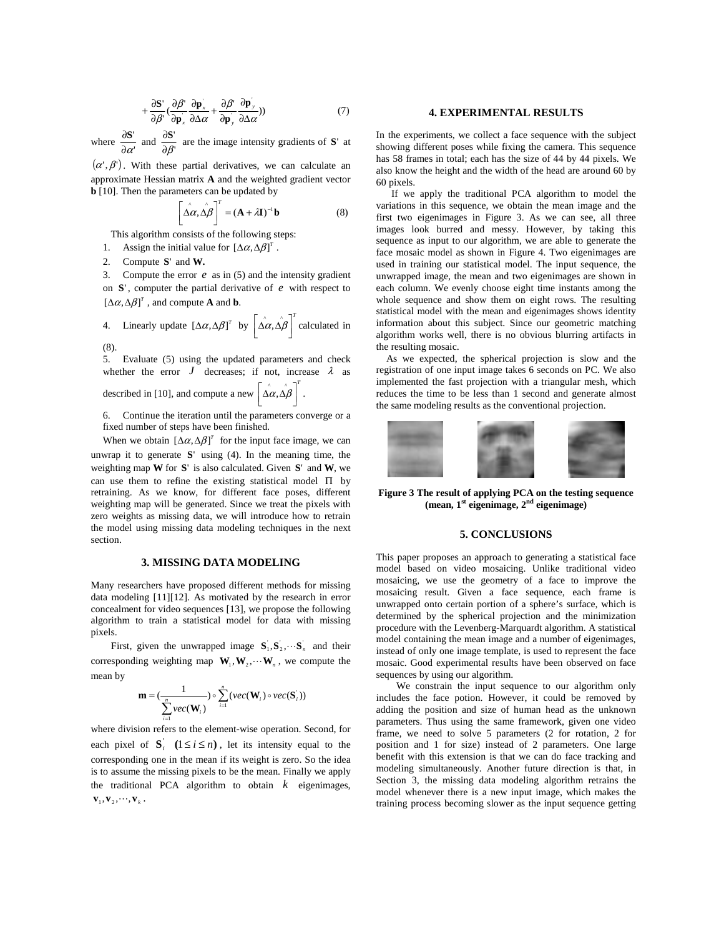$$
+\frac{\partial \mathbf{S}'}{\partial \beta}(\frac{\partial \beta'}{\partial \mathbf{p}_x}\frac{\partial \mathbf{p}_x}{\partial \Delta \alpha}+\frac{\partial \beta'}{\partial \mathbf{p}_y}\frac{\partial \mathbf{p}_y}{\partial \Delta \alpha}))\tag{7}
$$

where  $\frac{\partial^2}{\partial \alpha^2}$  $\frac{\partial \mathbf{S}'}{\partial \alpha'}$  and  $\frac{\partial \mathbf{S}'}{\partial \beta'}$  $\frac{\partial S'}{\partial \beta'}$  are the image intensity gradients of **S**' at

 $(\alpha', \beta')$ . With these partial derivatives, we can calculate an approximate Hessian matrix **A** and the weighted gradient vector **b** [10]. Then the parameters can be updated by

$$
\left[\Delta \alpha, \Delta \beta\right]^T = (\mathbf{A} + \lambda \mathbf{I})^{-1} \mathbf{b} \tag{8}
$$

This algorithm consists of the following steps:

- 1. Assign the initial value for  $[\Delta \alpha, \Delta \beta]^T$ .
- 2. Compute **S**' and **W.**

3. Compute the error *e* as in (5) and the intensity gradient on  $S'$ , computer the partial derivative of  $e$  with respect to  $[\Delta \alpha, \Delta \beta]^T$ , and compute **A** and **b**.

4. Linearly update 
$$
[\Delta \alpha, \Delta \beta]^T
$$
 by  $[\Delta \alpha, \Delta \beta]^T$  calculated in (8).

5. Evaluate (5) using the updated parameters and check whether the error  $J$  decreases; if not, increase  $\lambda$  as

described in [10], and compute a new  $\left[\hat{\Delta \alpha}, \hat{\Delta \beta}\right]^T$  $\left\lfloor \overset{\wedge}{\Delta \alpha}, \overset{\wedge}{\Delta \beta} \right\rfloor$  $\left| \hat{\Delta \alpha}, \hat{\Delta \beta} \right|$ .

6. Continue the iteration until the parameters converge or a fixed number of steps have been finished.

When we obtain  $[\Delta \alpha, \Delta \beta]^T$  for the input face image, we can unwrap it to generate  $S'$  using (4). In the meaning time, the weighting map  $W$  for  $S'$  is also calculated. Given  $S'$  and  $W$ , we can use them to refine the existing statistical model Π by retraining. As we know, for different face poses, different weighting map will be generated. Since we treat the pixels with zero weights as missing data, we will introduce how to retrain the model using missing data modeling techniques in the next section.

## **3. MISSING DATA MODELING**

Many researchers have proposed different methods for missing data modeling [11][12]. As motivated by the research in error concealment for video sequences [13], we propose the following algorithm to train a statistical model for data with missing pixels.

First, given the unwrapped image  $S_1, S_2, \cdots, S_n$  and their corresponding weighting map  $W_1, W_2, \cdots W_n$ , we compute the mean by

$$
\mathbf{m} = (\frac{1}{\sum_{i=1}^{n} vec(\mathbf{W}_i)}) \circ \sum_{i=1}^{n} (vec(\mathbf{W}_i) \circ vec(\mathbf{S}_i)))
$$

where division refers to the element-wise operation. Second, for each pixel of  $S_i$   $(1 \le i \le n)$ , let its intensity equal to the corresponding one in the mean if its weight is zero. So the idea is to assume the missing pixels to be the mean. Finally we apply the traditional PCA algorithm to obtain *k* eigenimages,  $\mathbf{v}_1, \mathbf{v}_2, \cdots, \mathbf{v}_k$ .

#### **4. EXPERIMENTAL RESULTS**

In the experiments, we collect a face sequence with the subject showing different poses while fixing the camera. This sequence has 58 frames in total; each has the size of 44 by 44 pixels. We also know the height and the width of the head are around 60 by 60 pixels.

 If we apply the traditional PCA algorithm to model the variations in this sequence, we obtain the mean image and the first two eigenimages in Figure 3. As we can see, all three images look burred and messy. However, by taking this sequence as input to our algorithm, we are able to generate the face mosaic model as shown in Figure 4. Two eigenimages are used in training our statistical model. The input sequence, the unwrapped image, the mean and two eigenimages are shown in each column. We evenly choose eight time instants among the whole sequence and show them on eight rows. The resulting statistical model with the mean and eigenimages shows identity information about this subject. Since our geometric matching algorithm works well, there is no obvious blurring artifacts in the resulting mosaic.

 As we expected, the spherical projection is slow and the registration of one input image takes 6 seconds on PC. We also implemented the fast projection with a triangular mesh, which reduces the time to be less than 1 second and generate almost the same modeling results as the conventional projection.



**Figure 3 The result of applying PCA on the testing sequence (mean, 1st eigenimage, 2nd eigenimage)** 

## **5. CONCLUSIONS**

This paper proposes an approach to generating a statistical face model based on video mosaicing. Unlike traditional video mosaicing, we use the geometry of a face to improve the mosaicing result. Given a face sequence, each frame is unwrapped onto certain portion of a sphere's surface, which is determined by the spherical projection and the minimization procedure with the Levenberg-Marquardt algorithm. A statistical model containing the mean image and a number of eigenimages, instead of only one image template, is used to represent the face mosaic. Good experimental results have been observed on face sequences by using our algorithm.

 We constrain the input sequence to our algorithm only includes the face potion. However, it could be removed by adding the position and size of human head as the unknown parameters. Thus using the same framework, given one video frame, we need to solve 5 parameters (2 for rotation, 2 for position and 1 for size) instead of 2 parameters. One large benefit with this extension is that we can do face tracking and modeling simultaneously. Another future direction is that, in Section 3, the missing data modeling algorithm retrains the model whenever there is a new input image, which makes the training process becoming slower as the input sequence getting